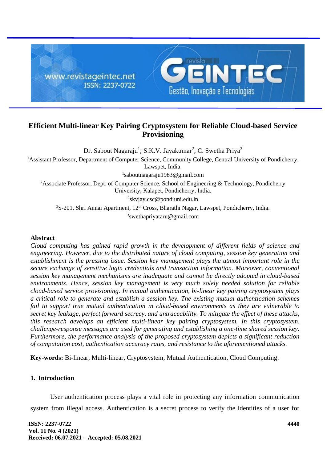

# **Efficient Multi-linear Key Pairing Cryptosystem for Reliable Cloud-based Service Provisioning**

Dr. Sabout Nagaraju<sup>1</sup>; S.K.V. Jayakumar<sup>2</sup>; C. Swetha Priya<sup>3</sup>

<sup>1</sup>Assistant Professor, Department of Computer Science, Community College, Central University of Pondicherry,

Lawspet, India.

1 saboutnagaraju1983@gmail.com

<sup>2</sup>Associate Professor, Dept. of Computer Science, School of Engineering & Technology, Pondicherry University, Kalapet, Pondicherry, India.

<sup>2</sup>skvjay.csc@pondiuni.edu.in

 $3S-201$ , Shri Annai Apartment,  $12<sup>th</sup>$  Cross, Bharathi Nagar, Lawspet, Pondicherry, India.

3 swethapriyataru@gmail.com

### **Abstract**

*Cloud computing has gained rapid growth in the development of different fields of science and engineering. However, due to the distributed nature of cloud computing, session key generation and establishment is the pressing issue. Session key management plays the utmost important role in the secure exchange of sensitive login credentials and transaction information. Moreover, conventional session key management mechanisms are inadequate and cannot be directly adopted in cloud-based environments. Hence, session key management is very much solely needed solution for reliable cloud-based service provisioning. In mutual authentication, bi-linear key pairing cryptosystem plays a critical role to generate and establish a session key. The existing mutual authentication schemes fail to support true mutual authentication in cloud-based environments as they are vulnerable to secret key leakage, perfect forward secrecy, and untraceability. To mitigate the effect of these attacks, this research develops an efficient multi-linear key pairing cryptosystem. In this cryptosystem, challenge-response messages are used for generating and establishing a one-time shared session key. Furthermore, the performance analysis of the proposed cryptosystem depicts a significant reduction of computation cost, authentication accuracy rates, and resistance to the aforementioned attacks.*

**Key-words:** Bi-linear, Multi-linear, Cryptosystem, Mutual Authentication, Cloud Computing.

## **1. Introduction**

User authentication process plays a vital role in protecting any information communication system from illegal access. Authentication is a secret process to verify the identities of a user for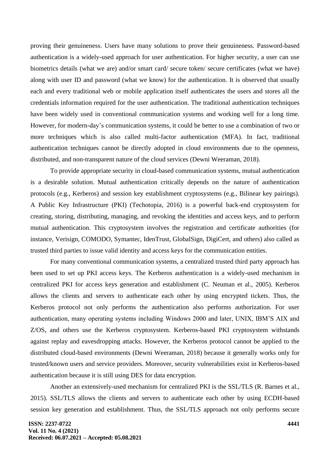proving their genuineness. Users have many solutions to prove their genuineness. Password-based authentication is a widely-used approach for user authentication. For higher security, a user can use biometrics details (what we are) and/or smart card/ secure token/ secure certificates (what we have) along with user ID and password (what we know) for the authentication. It is observed that usually each and every traditional web or mobile application itself authenticates the users and stores all the credentials information required for the user authentication. The traditional authentication techniques have been widely used in conventional communication systems and working well for a long time. However, for modern-day's communication systems, it could be better to use a combination of two or more techniques which is also called multi-factor authentication (MFA). In fact, traditional authentication techniques cannot be directly adopted in cloud environments due to the openness, distributed, and non-transparent nature of the cloud services (Dewni Weeraman, 2018).

To provide appropriate security in cloud-based communication systems, mutual authentication is a desirable solution. Mutual authentication critically depends on the nature of authentication protocols (e.g., Kerberos) and session key establishment cryptosystems (e.g., Bilinear key pairings). A Public Key Infrastructure (PKI) (Techotopia, 2016) is a powerful back-end cryptosystem for creating, storing, distributing, managing, and revoking the identities and access keys, and to perform mutual authentication. This cryptosystem involves the registration and certificate authorities (for instance, Verisign, COMODO, Symantec, IdenTrust, GlobalSign, DigiCert, and others) also called as trusted third parties to issue valid identity and access keys for the communication entities.

For many conventional communication systems, a centralized trusted third party approach has been used to set up PKI access keys. The Kerberos authentication is a widely-used mechanism in centralized PKI for access keys generation and establishment (C. Neuman et al., 2005). Kerberos allows the clients and servers to authenticate each other by using encrypted tickets. Thus, the Kerberos protocol not only performs the authentication also performs authorization. For user authentication, many operating systems including Windows 2000 and later, UNIX, IBM'S AIX and Z/OS, and others use the Kerberos cryptosystem. Kerberos-based PKI cryptosystem withstands against replay and eavesdropping attacks. However, the Kerberos protocol cannot be applied to the distributed cloud-based environments (Dewni Weeraman, 2018) because it generally works only for trusted/known users and service providers. Moreover, security vulnerabilities exist in Kerberos-based authentication because it is still using DES for data encryption.

Another an extensively-used mechanism for centralized PKI is the SSL/TLS (R. Barnes et al., 2015). SSL/TLS allows the clients and servers to authenticate each other by using ECDH-based session key generation and establishment. Thus, the SSL/TLS approach not only performs secure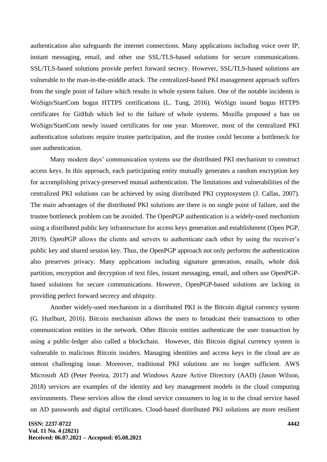authentication also safeguards the internet connections. Many applications including voice over IP, instant messaging, email, and other use SSL/TLS-based solutions for secure communications. SSL/TLS-based solutions provide perfect forward secrecy. However, SSL/TLS-based solutions are vulnerable to the man-in-the-middle attack. The centralized-based PKI management approach suffers from the single point of failure which results in whole system failure. One of the notable incidents is WoSign/StartCom bogus HTTPS certifications (L. Tung, 2016). WoSign issued bogus HTTPS certificates for GitHub which led to the failure of whole systems. Mozilla proposed a ban on WoSign/StartCom newly issued certificates for one year. Moreover, most of the centralized PKI authentication solutions require trustee participation, and the trustee could become a bottleneck for user authentication.

Many modern days' communication systems use the distributed PKI mechanism to construct access keys. In this approach, each participating entity mutually generates a random encryption key for accomplishing privacy-preserved mutual authentication. The limitations and vulnerabilities of the centralized PKI solutions can be achieved by using distributed PKI cryptosystem (J. Callas, 2007). The main advantages of the distributed PKI solutions are there is no single point of failure, and the trustee bottleneck problem can be avoided. The OpenPGP authentication is a widely-used mechanism using a distributed public key infrastructure for access keys generation and establishment (Open PGP, 2019). OpenPGP allows the clients and servers to authenticate each other by using the receiver's public key and shared session key. Thus, the OpenPGP approach not only performs the authentication also preserves privacy. Many applications including signature generation, emails, whole disk partition, encryption and decryption of text files, instant messaging, email, and others use OpenPGPbased solutions for secure communications. However, OpenPGP-based solutions are lacking in providing perfect forward secrecy and ubiquity.

Another widely-used mechanism in a distributed PKI is the Bitcoin digital currency system (G. Hurlburt, 2016). Bitcoin mechanism allows the users to broadcast their transactions to other communication entities in the network. Other Bitcoin entities authenticate the user transaction by using a public-ledger also called a blockchain. However, this Bitcoin digital currency system is vulnerable to malicious Bitcoin insiders. Managing identities and access keys in the cloud are an utmost challenging issue. Moreover, traditional PKI solutions are no longer sufficient. AWS Microsoft AD (Peter Pereira, 2017) and Windows Azure Active Directory (AAD) (Jason Wilson, 2018) services are examples of the identity and key management models in the cloud computing environments. These services allow the cloud service consumers to log in to the cloud service based on AD passwords and digital certificates. Cloud-based distributed PKI solutions are more resilient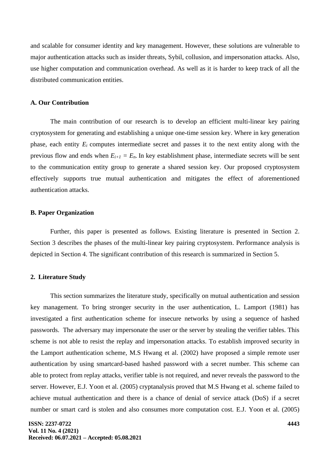and scalable for consumer identity and key management. However, these solutions are vulnerable to major authentication attacks such as insider threats, Sybil, collusion, and impersonation attacks. Also, use higher computation and communication overhead. As well as it is harder to keep track of all the distributed communication entities.

### **A. Our Contribution**

The main contribution of our research is to develop an efficient multi-linear key pairing cryptosystem for generating and establishing a unique one-time session key. Where in key generation phase, each entity *E<sup>i</sup>* computes intermediate secret and passes it to the next entity along with the previous flow and ends when  $E_{i+1} = E_n$ . In key establishment phase, intermediate secrets will be sent to the communication entity group to generate a shared session key. Our proposed cryptosystem effectively supports true mutual authentication and mitigates the effect of aforementioned authentication attacks.

#### **B. Paper Organization**

Further, this paper is presented as follows. Existing literature is presented in Section 2. Section 3 describes the phases of the multi-linear key pairing cryptosystem. Performance analysis is depicted in Section 4. The significant contribution of this research is summarized in Section 5.

#### **2. Literature Study**

This section summarizes the literature study, specifically on mutual authentication and session key management. To bring stronger security in the user authentication, L. Lamport (1981) has investigated a first authentication scheme for insecure networks by using a sequence of hashed passwords. The adversary may impersonate the user or the server by stealing the verifier tables. This scheme is not able to resist the replay and impersonation attacks. To establish improved security in the Lamport authentication scheme, M.S Hwang et al. (2002) have proposed a simple remote user authentication by using smartcard-based hashed password with a secret number. This scheme can able to protect from replay attacks, verifier table is not required, and never reveals the password to the server. However, E.J. Yoon et al. (2005) cryptanalysis proved that M.S Hwang et al. scheme failed to achieve mutual authentication and there is a chance of denial of service attack (DoS) if a secret number or smart card is stolen and also consumes more computation cost. E.J. Yoon et al. (2005)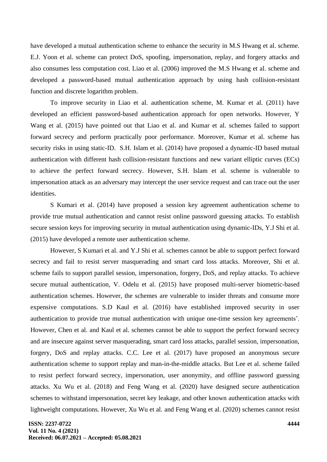have developed a mutual authentication scheme to enhance the security in M.S Hwang et al. scheme. E.J. Yoon et al. scheme can protect DoS, spoofing, impersonation, replay, and forgery attacks and also consumes less computation cost. Liao et al. (2006) improved the M.S Hwang et al. scheme and developed a password-based mutual authentication approach by using hash collision-resistant function and discrete logarithm problem.

To improve security in Liao et al. authentication scheme, M. Kumar et al. (2011) have developed an efficient password-based authentication approach for open networks. However, Y Wang et al. (2015) have pointed out that Liao et al. and Kumar et al. schemes failed to support forward secrecy and perform practically poor performance. Moreover, Kumar et al. scheme has security risks in using static-ID. S.H. Islam et al. (2014) have proposed a dynamic-ID based mutual authentication with different hash collision-resistant functions and new variant elliptic curves (ECs) to achieve the perfect forward secrecy. However, S.H. Islam et al. scheme is vulnerable to impersonation attack as an adversary may intercept the user service request and can trace out the user identities.

S Kumari et al. (2014) have proposed a session key agreement authentication scheme to provide true mutual authentication and cannot resist online password guessing attacks. To establish secure session keys for improving security in mutual authentication using dynamic-IDs, Y.J Shi et al. (2015) have developed a remote user authentication scheme.

However, S Kumari et al. and Y.J Shi et al. schemes cannot be able to support perfect forward secrecy and fail to resist server masquerading and smart card loss attacks. Moreover, Shi et al. scheme fails to support parallel session, impersonation, forgery, DoS, and replay attacks. To achieve secure mutual authentication, V. Odelu et al. (2015) have proposed multi-server biometric-based authentication schemes. However, the schemes are vulnerable to insider threats and consume more expensive computations. S.D Kaul et al. (2016) have established improved security in user authentication to provide true mutual authentication with unique one-time session key agreements'. However, Chen et al. and Kaul et al. schemes cannot be able to support the perfect forward secrecy and are insecure against server masquerading, smart card loss attacks, parallel session, impersonation, forgery, DoS and replay attacks. C.C. Lee et al. (2017) have proposed an anonymous secure authentication scheme to support replay and man-in-the-middle attacks. But Lee et al. scheme failed to resist perfect forward secrecy, impersonation, user anonymity, and offline password guessing attacks. Xu Wu et al. (2018) and Feng Wang et al. (2020) have designed secure authentication schemes to withstand impersonation, secret key leakage, and other known authentication attacks with lightweight computations. However, Xu Wu et al. and Feng Wang et al. (2020) schemes cannot resist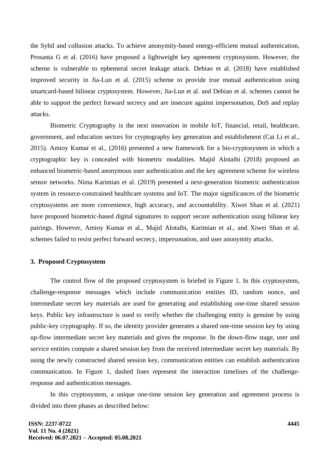the Sybil and collusion attacks. To achieve anonymity-based energy-efficient mutual authentication, Prosanta G et al. (2016) have proposed a lightweight key agreement cryptosystem. However, the scheme is vulnerable to ephemeral secret leakage attack. Debiao et al. (2018) have established improved security in Jia-Lun et al. (2015) scheme to provide true mutual authentication using smartcard-based bilinear cryptosystem. However, Jia-Lun et al. and Debiao et al. schemes cannot be able to support the perfect forward secrecy and are insecure against impersonation, DoS and replay attacks.

Biometric Cryptography is the next innovation in mobile IoT, financial, retail, healthcare, government, and education sectors for cryptography key generation and establishment (Cai Li et al., 2015). Amioy Kumar et al., (2016) presented a new framework for a bio-cryptosystem in which a cryptographic key is concealed with biometric modalities. Majid Alotaibi (2018) proposed an enhanced biometric-based anonymous user authentication and the key agreement scheme for wireless sensor networks. Nima Karimian et al. (2019) presented a next-generation biometric authentication system in resource-constrained healthcare systems and IoT. The major significances of the biometric cryptosystems are more convenience, high accuracy, and accountability. Xiwei Shan et al. (2021) have proposed biometric-based digital signatures to support secure authentication using bilinear key pairings. However, Amioy Kumar et al., Majid Alotaibi, Karimian et al., and Xiwei Shan et al. schemes failed to resist perfect forward secrecy, impersonation, and user anonymity attacks.

#### **3. Proposed Cryptosystem**

The control flow of the proposed cryptosystem is briefed in Figure 1. In this cryptosystem, challenge-response messages which include communication entities ID, random nonce, and intermediate secret key materials are used for generating and establishing one-time shared session keys. Public key infrastructure is used to verify whether the challenging entity is genuine by using public-key cryptography. If so, the identity provider generates a shared one-time session key by using up-flow intermediate secret key materials and gives the response. In the down-flow stage, user and service entities compute a shared session key from the received intermediate secret key materials. By using the newly constructed shared session key, communication entities can establish authentication communication. In Figure 1, dashed lines represent the interaction timelines of the challengeresponse and authentication messages.

In this cryptosystem, a unique one-time session key generation and agreement process is divided into three phases as described below: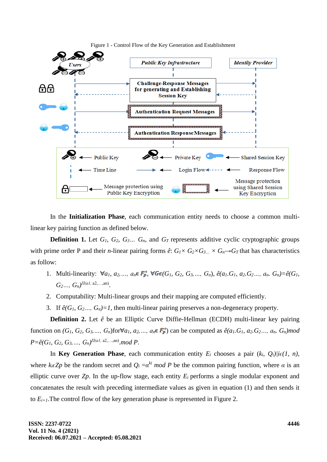

Figure 1 - Control Flow of the Key Generation and Establishment

In the **Initialization Phase**, each communication entity needs to choose a common multilinear key pairing function as defined below.

**Definition 1.** Let  $G_1$ ,  $G_2$ ,  $G_3$ *…*  $G_n$ , and  $G_T$  represents additive cyclic cryptographic groups with prime order P and their *n*-linear pairing forms  $\hat{e}$ :  $G_1 \times G_2 \times G_3 \times G_n \rightarrow G_T$  that has characteristics as follow:

- 1. Multi-linearity:  $\forall a_1, a_2, ..., a_n \in F_p^*$ ,  $\forall G \in (G_1, G_2, G_3, ..., G_n)$ ,  $\hat{e}(a_1, G_1, a_2, G_2, ..., a_n, G_n) = \hat{e}(G_1, G_2, ..., G_n)$  $G_2...$ ,  $G_n$ , $\prod_{l=1}^{n}$  (a1, a2, …,an).
- 2. Computability: Multi-linear groups and their mapping are computed efficiently.
- 3. If  $\hat{e}(G_1, G_2, \ldots, G_n) = 1$ , then multi-linear pairing preserves a non-degeneracy property.

**Definition 2.** Let *ê* be an Elliptic Curve Diffie-Hellman (ECDH) multi-linear key pairing function on  $(G_1, G_2, G_3, \ldots, G_n)$  for  $\forall a_1, a_2, \ldots, a_n \in F_p^*$  can be computed as  $\hat{e}(a_1, G_1, a_2, G_2, \ldots, a_n, G_n)$  mod *P=ê(G1, G2, G3,…, Gn) Π(a1,* a2,…,an) .*mod P*.

In **Key Generation Phase**, each communication entity  $E_i$  chooses a pair  $(k_i, Q_i)/i\epsilon(1, n)$ , where  $k_i \in \mathbb{Z}$ *p* be the random secret and  $Q_i = \alpha^{ki} \mod P$  be the common pairing function, where  $\alpha$  is an elliptic curve over  $Z_p$ . In the up-flow stage, each entity  $E_i$  performs a single modular exponent and concatenates the result with preceding intermediate values as given in equation (1) and then sends it to  $E_{i+1}$ . The control flow of the key generation phase is represented in Figure 2.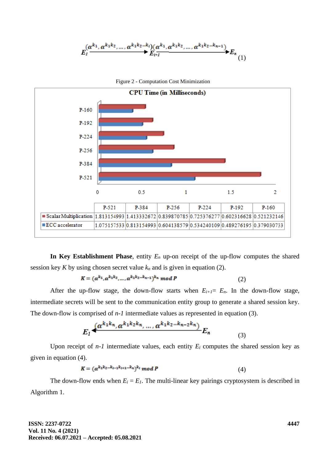



In Key Establishment Phase, entity  $E_n$  up-on receipt of the up-flow computes the shared session key *K* by using chosen secret value  $k_n$  and is given in equation (2).

$$
K = (\alpha^{k_1}, \alpha^{k_1 k_2}, \dots, \alpha^{k_1 k_2 \dots k_{n-1}})^{k_n} \mod P
$$
 (2)

After the up-flow stage, the down-flow starts when  $E_{i+1} = E_n$ . In the down-flow stage, intermediate secrets will be sent to the communication entity group to generate a shared session key. The down-flow is comprised of *n-1* intermediate values as represented in equation (3).

$$
E_1 \frac{(a^{k_1 k_n}, a^{k_1 k_2 k_n}, \dots, a^{k_1 k_2 \dots k_{n-2} k_n})}{E_n} E_n \tag{3}
$$

Upon receipt of  $n-1$  intermediate values, each entity  $E_i$  computes the shared session key as given in equation (4).

$$
K = (\alpha^{k_1 k_2 \dots k_{l-1} k_{l+1} \dots k_n})^{k_l} \mod P
$$
 (4)

The down-flow ends when  $E_i = E_i$ . The multi-linear key pairings cryptosystem is described in Algorithm 1.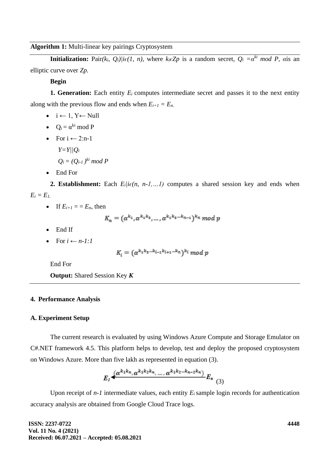**Algorithm 1:** Multi-linear key pairings Cryptosystem

**Initialization:** Pair $(k_i, Q_i)/i\epsilon(1, n)$ , where  $k_i \epsilon Zp$  is a random secret,  $Q_i = \alpha^{ki} \mod P$ ,  $\alpha$ is an elliptic curve over *Zp.*

**Begin**

**1. Generation:** Each entity  $E_i$  computes intermediate secret and passes it to the next entity along with the previous flow and ends when  $E_{i+1} = E_n$ .

- $i \leftarrow 1, Y \leftarrow Null$
- $Q_i = \alpha^{ki} \mod P$
- For  $i \leftarrow 2$ :n-1 *Y=Y||Q<sup>i</sup>*  $Q_i = (Q_{i\text{-}1})^{ki} \mod P$
- End For

**2. Establishment:** Each  $E_i/i\epsilon(n, n-1,...1)$  computes a shared session key and ends when  $E_i = E_l$ 

• If  $E_{i+1} = E_n$ , then

$$
K_n = (a^{k_1}, a^{k_1 k_2}, \dots, a^{k_1 k_2 \dots k_{n-1}})^{k_n} \mod p
$$

- End If
- For  $i \leftarrow n-1:1$

$$
K_i = (\alpha^{k_1 k_2 \ldots k_{i-1} k_{i+1} \ldots k_n})^{k_i} \mod p
$$

End For

**Output:** Shared Session Key *K*

#### **4. Performance Analysis**

#### **A. Experiment Setup**

The current research is evaluated by using Windows Azure Compute and Storage Emulator on C#.NET framework 4.5. This platform helps to develop, test and deploy the proposed cryptosystem on Windows Azure. More than five lakh as represented in equation (3).

$$
E_1 \frac{(a^{k_1 k_n}, a^{k_1 k_2 k_n}, \dots, a^{k_1 k_2 \dots k_{n-2} k_n})}{E_n} E_n
$$
 (3)

Upon receipt of *n-1* intermediate values, each entity  $E_i$  sample login records for authentication accuracy analysis are obtained from Google Cloud Trace logs.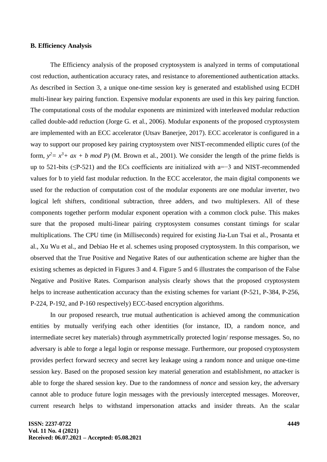#### **B. Efficiency Analysis**

The Efficiency analysis of the proposed cryptosystem is analyzed in terms of computational cost reduction, authentication accuracy rates, and resistance to aforementioned authentication attacks. As described in Section 3, a unique one-time session key is generated and established using ECDH multi-linear key pairing function. Expensive modular exponents are used in this key pairing function. The computational costs of the modular exponents are minimized with interleaved modular reduction called double-add reduction (Jorge G. et al., 2006). Modular exponents of the proposed cryptosystem are implemented with an ECC accelerator (Utsav Banerjee, 2017). ECC accelerator is configured in a way to support our proposed key pairing cryptosystem over NIST-recommended elliptic cures (of the form,  $y^2 = x^3 + ax + b \mod P$  (M. Brown et al., 2001). We consider the length of the prime fields is up to 521-bits (≤P-521) and the ECs coefficients are initialized with a=−3 and NIST-recommended values for b to yield fast modular reduction. In the ECC accelerator, the main digital components we used for the reduction of computation cost of the modular exponents are one modular inverter, two logical left shifters, conditional subtraction, three adders, and two multiplexers. All of these components together perform modular exponent operation with a common clock pulse. This makes sure that the proposed multi-linear pairing cryptosystem consumes constant timings for scalar multiplications. The CPU time (in Milliseconds) required for existing Jia-Lun Tsai et al., Prosanta et al., Xu Wu et al., and Debiao He et al. schemes using proposed cryptosystem. In this comparison, we observed that the True Positive and Negative Rates of our authentication scheme are higher than the existing schemes as depicted in Figures 3 and 4. Figure 5 and 6 illustrates the comparison of the False Negative and Positive Rates. Comparison analysis clearly shows that the proposed cryptosystem helps to increase authentication accuracy than the existing schemes for variant (P-521, P-384, P-256, P-224, P-192, and P-160 respectively) ECC-based encryption algorithms.

In our proposed research, true mutual authentication is achieved among the communication entities by mutually verifying each other identities (for instance, ID, a random nonce, and intermediate secret key materials) through asymmetrically protected login/ response messages. So, no adversary is able to forge a legal login or response message. Furthermore, our proposed cryptosystem provides perfect forward secrecy and secret key leakage using a random nonce and unique one-time session key. Based on the proposed session key material generation and establishment, no attacker is able to forge the shared session key. Due to the randomness of *nonce* and session key, the adversary cannot able to produce future login messages with the previously intercepted messages. Moreover, current research helps to withstand impersonation attacks and insider threats. An the scalar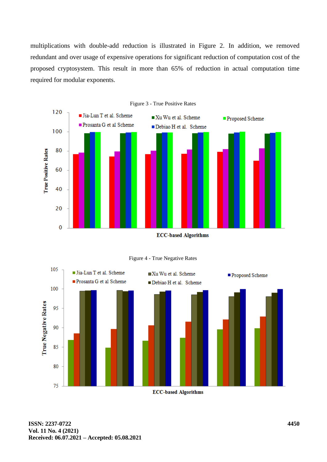multiplications with double-add reduction is illustrated in Figure 2. In addition, we removed redundant and over usage of expensive operations for significant reduction of computation cost of the proposed cryptosystem. This result in more than 65% of reduction in actual computation time required for modular exponents.







**ECC-based Algorithms**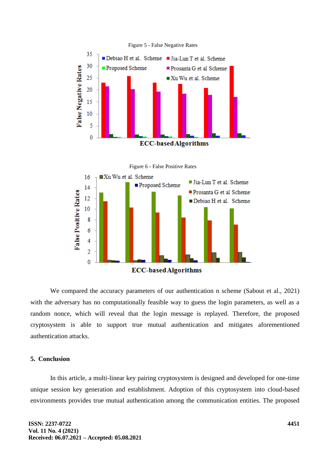

We compared the accuracy parameters of our authentication n scheme (Sabout et al., 2021) with the adversary has no computationally feasible way to guess the login parameters, as well as a random nonce, which will reveal that the login message is replayed. Therefore, the proposed cryptosystem is able to support true mutual authentication and mitigates aforementioned authentication attacks.

### **5. Conclusion**

In this article, a multi-linear key pairing cryptosystem is designed and developed for one-time unique session key generation and establishment. Adoption of this cryptosystem into cloud-based environments provides true mutual authentication among the communication entities. The proposed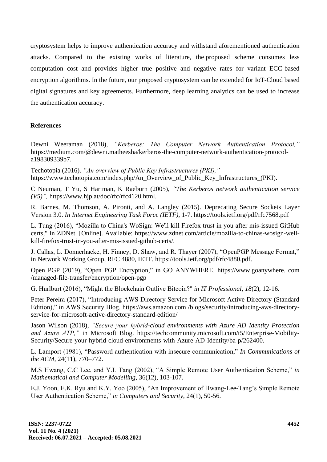cryptosystem helps to improve authentication accuracy and withstand aforementioned authentication attacks. Compared to the existing works of literature, the proposed scheme consumes less computation cost and provides higher true positive and negative rates for variant ECC-based encryption algorithms. In the future, our proposed cryptosystem can be extended for IoT-Cloud based digital signatures and key agreements. Furthermore, deep learning analytics can be used to increase the authentication accuracy.

## **References**

Dewni Weeraman (2018), *"Kerberos: The Computer Network Authentication Protocol,"* https://medium.com/@dewni.matheesha/kerberos-the-computer-network-authentication-protocola198309339b7.

Techotopia (2016). *"An overview of Public Key Infrastructures (PKI),"* [https://www.techotopia.com/index.php/An\\_Overview\\_of\\_Public\\_Key\\_Infrastructures\\_\(PKI\).](https://www.techotopia.com/index.php/An_Overview_of_Public_Key_Infrastructures_(PKI))

C Neuman, T Yu, S Hartman, K Raeburn (2005), *["The Kerberos network](https://scholar.google.com/scholar?oi=bibs&cluster=8430010103626316686&btnI=1&hl=en) authentication service [\(V5\)"](https://scholar.google.com/scholar?oi=bibs&cluster=8430010103626316686&btnI=1&hl=en),* https://www.hjp.at/doc/rfc/rfc4120.html.

R. Barnes, M. Thomson, A. Pironti, and A. Langley (2015). Deprecating Secure Sockets Layer Version 3.0. *In Internet Engineering Task Force (IETF),* 1-7. https://tools.ietf.org/pdf/rfc7568.pdf

L. Tung (2016), "Mozilla to China's WoSign: We'll kill Firefox trust in you after mis-issued GitHub certs," in ZDNet. [Online]. Available: https://www.zdnet.com/article/mozilla-to-chinas-wosign-wellkill-firefox-trust-in-you-after-mis-issued-github-certs/.

J. Callas, L. Donnerhacke, H. Finney, D. Shaw, and R. Thayer (2007), "OpenPGP Message Format," in Network Working Group, RFC 4880, IETF. https://tools.ietf.org/pdf/rfc4880.pdf.

Open PGP (2019), "Open PGP Encryption," in GO ANYWHERE. https://www.goanywhere. com /managed-file-transfer/encryption/open-pgp

G. Hurlburt (2016), "Might the Blockchain Outlive Bitcoin?" *in IT Professional, 18*(2), 12-16.

Peter Pereira (2017), "Introducing AWS Directory Service for Microsoft Active Directory (Standard Edition)," in AWS Security Blog. https://aws.amazon.com /blogs/security/introducing-aws-directoryservice-for-microsoft-active-directory-standard-edition/

Jason Wilson (2018), *"Secure your hybrid-cloud environments with Azure AD Identity Protection and Azure ATP,"* in Microsoft Blog. https://techcommunity.microsoft.com/t5/Enterprise-Mobility-Security/Secure-your-hybrid-cloud-environments-with-Azure-AD-Identity/ba-p/262400.

L. Lamport (1981), "Password authentication with insecure communication," *In Communications of the ACM,* 24(11), 770–772.

M.S Hwang, C.C Lee, and Y.L Tang (2002), "A Simple Remote User Authentication Scheme," *in Mathematical and Computer Modelling,* 36(12), 103-107.

E.J. Yoon, E.K. Ryu and K.Y. Yoo (2005), "An Improvement of Hwang-Lee-Tang's Simple Remote User Authentication Scheme," *in Computers and Security,* 24(1), 50-56.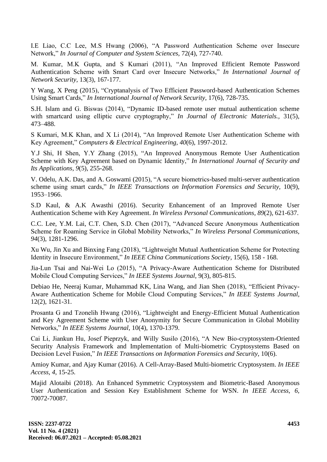I.E Liao, C.C Lee, M.S Hwang (2006), "A Password Authentication Scheme over Insecure Network," *In Journal of Computer and System Sciences,* 72(4), 727-740.

M. Kumar, M.K Gupta, and S Kumari (2011), "An Improved Efficient Remote Password Authentication Scheme with Smart Card over Insecure Networks," *In International Journal of Network Security,* 13(3), 167-177.

Y Wang, X Peng (2015), "Cryptanalysis of Two Efficient Password-based Authentication Schemes Using Smart Cards," *In International Journal of Network Security,* 17(6), 728-735.

S.H. Islam and G. Biswas (2014), "Dynamic ID-based remote user mutual authentication scheme with smartcard using elliptic curve cryptography," *In Journal of Electronic Materials.,* 31(5), 473–488.

S Kumari, M.K Khan, and X Li (2014), "An Improved Remote User Authentication Scheme with Key Agreement," *Computers & Electrical Engineering, 40*(6), 1997-2012.

Y.J Shi, H Shen, Y.Y Zhang (2015), "An Improved Anonymous Remote User Authentication Scheme with Key Agreement based on Dynamic Identity," *In International Journal of Security and Its Applications, 9*(5), 255-268.

V. Odelu, A.K. Das, and A. Goswami (2015), "A secure biometrics-based multi-server authentication scheme using smart cards," *In IEEE Transactions on Information Forensics and Security,* 10(9), 1953–1966.

S.D Kaul, & A.K Awasthi (2016). Security Enhancement of an Improved Remote User Authentication Scheme with Key Agreement. *In Wireless Personal Communications, 89*(2), 621-637.

C.C. Lee, Y.M. Lai, C.T. Chen, S.D. Chen (2017), "Advanced Secure Anonymous Authentication Scheme for Roaming Service in Global Mobility Networks," *In Wireless Personal Communications, 94*(3), 1281-1296.

Xu Wu, Jin Xu and Binxing Fang (2018), "Lightweight Mutual Authentication Scheme for Protecting Identity in Insecure Environment," *In IEEE China Communications Society,* 15(6), 158 - 168.

Jia-Lun Tsai and Nai-Wei Lo (2015), "A Privacy-Aware Authentication Scheme for Distributed Mobile Cloud Computing Services," *In IEEE Systems Journal,* 9(3), 805-815.

Debiao He, Neeraj Kumar, Muhammad KK, Lina Wang, and Jian Shen (2018), "Efficient Privacy-Aware Authentication Scheme for Mobile Cloud Computing Services," *In IEEE Systems Journal,* 12(2), 1621-31.

Prosanta G and Tzonelih Hwang (2016), "Lightweight and Energy-Efficient Mutual Authentication and Key Agreement Scheme with User Anonymity for Secure Communication in Global Mobility Networks," *In IEEE Systems Journal,* 10(4), 1370-1379.

Cai Li, Jiankun Hu, Josef Pieprzyk, and Willy Susilo (2016), "A New Bio-cryptosystem-Oriented Security Analysis Framework and Implementation of Multi-biometric Cryptosystems Based on Decision Level Fusion," *In IEEE Transactions on Information Forensics and Security,* 10(6).

Amioy Kumar, and Ajay Kumar (2016). A Cell-Array-Based Multi-biometric Cryptosystem. *In IEEE Access, 4,* 15-25.

Majid Alotaibi (2018). An Enhanced Symmetric Cryptosystem and Biometric-Based Anonymous User Authentication and Session Key Establishment Scheme for WSN. *In IEEE Access, 6,* 70072-70087.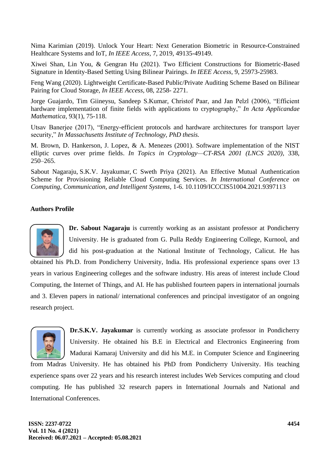Nima Karimian (2019). Unlock Your Heart: Next Generation Biometric in Resource-Constrained Healthcare Systems and IoT, *In IEEE Access,* 7, 2019, 49135-49149.

Xiwei Shan, Lin You, & Gengran Hu (2021). Two Efficient Constructions for Biometric-Based Signature in Identity-Based Setting Using Bilinear Pairings. *In IEEE Access,* 9, 25973-25983.

Feng Wang (2020). Lightweight Certificate-Based Public/Private Auditing Scheme Based on Bilinear Pairing for Cloud Storage, *In IEEE Access,* 08, 2258- 2271.

Jorge Guajardo, Tim Giineysu, Sandeep S.Kumar, Christof Paar, and Jan Pelzl (2006), "Efficient hardware implementation of finite fields with applications to cryptography," *In Acta Applicandae Mathematica,* 93(1), 75-118.

Utsav Banerjee (2017), "Energy-efficient protocols and hardware architectures for transport layer security," *In Massachusetts Institute of Technology, PhD thesis.*

M. Brown, D. Hankerson, J. Lopez, & A. Menezes (2001). Software implementation of the NIST elliptic curves over prime fields. *In Topics in Cryptology—CT-RSA 2001 (LNCS 2020),* 338, 250–265.

[Sabout Nagaraju,](https://ieeexplore.ieee.org/author/37085798230) [S.K.V. Jayakumar,](https://ieeexplore.ieee.org/author/37968388400) [C Sweth Priya](https://ieeexplore.ieee.org/author/37088840456) (2021). An Effective Mutual Authentication Scheme for Provisioning Reliable Cloud Computing Services. *In International Conference on Computing, Communication, and Intelligent Systems,* 1-6. 10.1109/ICCCIS51004.2021.9397113

## **Authors Profile**



**Dr. Sabout Nagaraju** is currently working as an assistant professor at Pondicherry University. He is graduated from G. Pulla Reddy Engineering College, Kurnool, and did his post-graduation at the National Institute of Technology, Calicut. He has

obtained his Ph.D. from Pondicherry University, India. His professional experience spans over 13 years in various Engineering colleges and the software industry. His areas of interest include Cloud Computing, the Internet of Things, and AI. He has published fourteen papers in international journals and 3. Eleven papers in national/ international conferences and principal investigator of an ongoing research project.



**Dr.S.K.V. Jayakumar** is currently working as associate professor in Pondicherry University. He obtained his B.E in Electrical and Electronics Engineering from Madurai Kamaraj University and did his M.E. in Computer Science and Engineering

from Madras University. He has obtained his PhD from Pondicherry University. His teaching experience spans over 22 years and his research interest includes Web Services computing and cloud computing. He has published 32 research papers in International Journals and National and International Conferences.